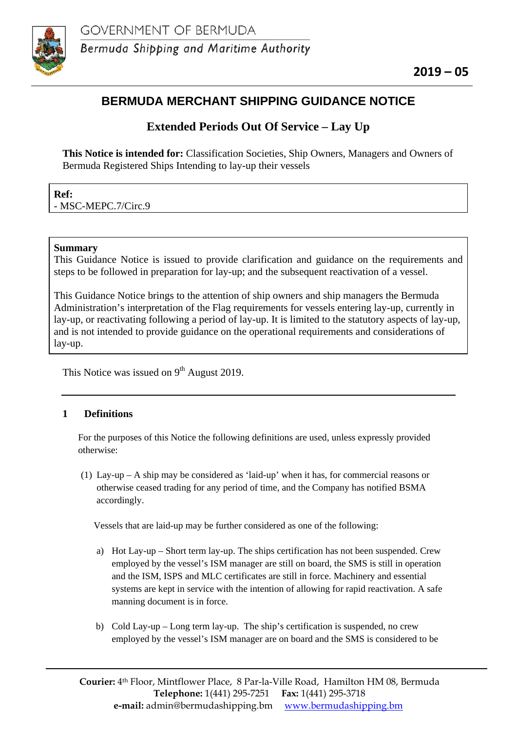

# **BERMUDA MERCHANT SHIPPING GUIDANCE NOTICE**

# **Extended Periods Out Of Service – Lay Up**

**This Notice is intended for:** Classification Societies, Ship Owners, Managers and Owners of Bermuda Registered Ships Intending to lay-up their vessels

| Ref:                |  |
|---------------------|--|
| - MSC-MEPC.7/Circ.9 |  |

### **Summary**

This Guidance Notice is issued to provide clarification and guidance on the requirements and steps to be followed in preparation for lay-up; and the subsequent reactivation of a vessel.

This Guidance Notice brings to the attention of ship owners and ship managers the Bermuda Administration's interpretation of the Flag requirements for vessels entering lay-up, currently in lay-up, or reactivating following a period of lay-up. It is limited to the statutory aspects of lay-up, and is not intended to provide guidance on the operational requirements and considerations of lay-up.

This Notice was issued on  $9<sup>th</sup>$  August 2019.

## **1 Definitions**

For the purposes of this Notice the following definitions are used, unless expressly provided otherwise:

(1) Lay-up – A ship may be considered as 'laid-up' when it has, for commercial reasons or otherwise ceased trading for any period of time, and the Company has notified BSMA accordingly.

Vessels that are laid-up may be further considered as one of the following:

- a) Hot Lay-up Short term lay-up. The ships certification has not been suspended. Crew employed by the vessel's ISM manager are still on board, the SMS is still in operation and the ISM, ISPS and MLC certificates are still in force. Machinery and essential systems are kept in service with the intention of allowing for rapid reactivation. A safe manning document is in force.
- b) Cold Lay-up Long term lay-up. The ship's certification is suspended, no crew employed by the vessel's ISM manager are on board and the SMS is considered to be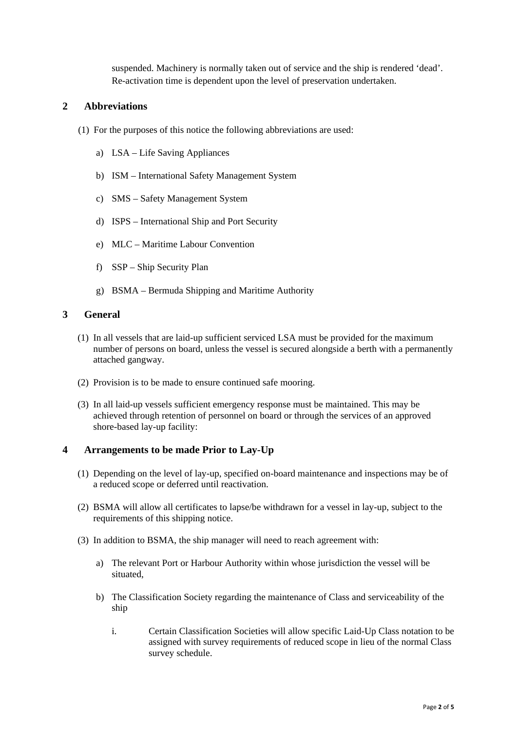suspended. Machinery is normally taken out of service and the ship is rendered 'dead'. Re-activation time is dependent upon the level of preservation undertaken.

#### **2 Abbreviations**

- (1) For the purposes of this notice the following abbreviations are used:
	- a) LSA Life Saving Appliances
	- b) ISM International Safety Management System
	- c) SMS Safety Management System
	- d) ISPS International Ship and Port Security
	- e) MLC Maritime Labour Convention
	- f) SSP Ship Security Plan
	- g) BSMA Bermuda Shipping and Maritime Authority

#### **3 General**

- (1) In all vessels that are laid-up sufficient serviced LSA must be provided for the maximum number of persons on board, unless the vessel is secured alongside a berth with a permanently attached gangway.
- (2) Provision is to be made to ensure continued safe mooring.
- (3) In all laid-up vessels sufficient emergency response must be maintained. This may be achieved through retention of personnel on board or through the services of an approved shore-based lay-up facility:

#### **4 Arrangements to be made Prior to Lay-Up**

- (1) Depending on the level of lay-up, specified on-board maintenance and inspections may be of a reduced scope or deferred until reactivation.
- (2) BSMA will allow all certificates to lapse/be withdrawn for a vessel in lay-up, subject to the requirements of this shipping notice.
- (3) In addition to BSMA, the ship manager will need to reach agreement with:
	- a) The relevant Port or Harbour Authority within whose jurisdiction the vessel will be situated,
	- b) The Classification Society regarding the maintenance of Class and serviceability of the ship
		- i. Certain Classification Societies will allow specific Laid-Up Class notation to be assigned with survey requirements of reduced scope in lieu of the normal Class survey schedule.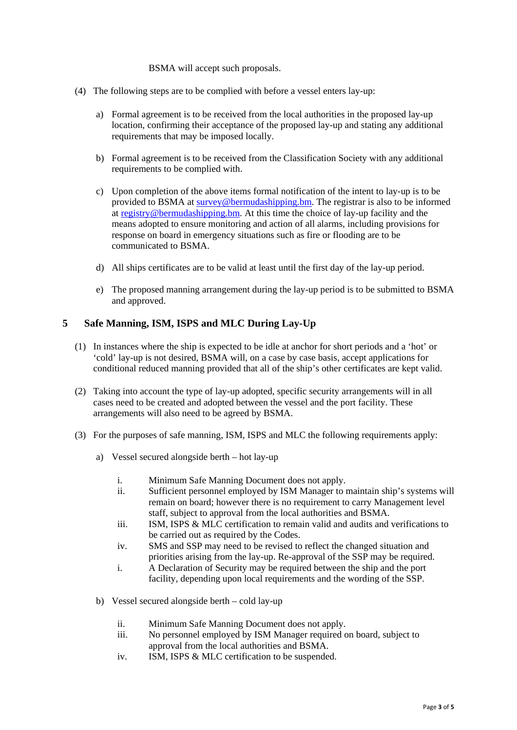#### BSMA will accept such proposals.

- (4) The following steps are to be complied with before a vessel enters lay-up:
	- a) Formal agreement is to be received from the local authorities in the proposed lay-up location, confirming their acceptance of the proposed lay-up and stating any additional requirements that may be imposed locally.
	- b) Formal agreement is to be received from the Classification Society with any additional requirements to be complied with.
	- c) Upon completion of the above items formal notification of the intent to lay-up is to be provided to BSMA at [survey@bermudashipping.bm.](mailto:survey@bermudashipping.bm) The registrar is also to be informed at [registry@bermudashipping.bm.](mailto:registry@bermudashipping.bm) At this time the choice of lay-up facility and the means adopted to ensure monitoring and action of all alarms, including provisions for response on board in emergency situations such as fire or flooding are to be communicated to BSMA.
	- d) All ships certificates are to be valid at least until the first day of the lay-up period.
	- e) The proposed manning arrangement during the lay-up period is to be submitted to BSMA and approved.

#### **5 Safe Manning, ISM, ISPS and MLC During Lay-Up**

- (1) In instances where the ship is expected to be idle at anchor for short periods and a 'hot' or 'cold' lay-up is not desired, BSMA will, on a case by case basis, accept applications for conditional reduced manning provided that all of the ship's other certificates are kept valid.
- (2) Taking into account the type of lay-up adopted, specific security arrangements will in all cases need to be created and adopted between the vessel and the port facility. These arrangements will also need to be agreed by BSMA.
- (3) For the purposes of safe manning, ISM, ISPS and MLC the following requirements apply:
	- a) Vessel secured alongside berth hot lay-up
		- i. Minimum Safe Manning Document does not apply.
		- ii. Sufficient personnel employed by ISM Manager to maintain ship's systems will remain on board; however there is no requirement to carry Management level staff, subject to approval from the local authorities and BSMA.
		- iii. ISM, ISPS & MLC certification to remain valid and audits and verifications to be carried out as required by the Codes.
		- iv. SMS and SSP may need to be revised to reflect the changed situation and priorities arising from the lay-up. Re-approval of the SSP may be required.
		- i. A Declaration of Security may be required between the ship and the port facility, depending upon local requirements and the wording of the SSP.
	- b) Vessel secured alongside berth cold lay-up
		- ii. Minimum Safe Manning Document does not apply.
		- iii. No personnel employed by ISM Manager required on board, subject to approval from the local authorities and BSMA.
		- iv. ISM, ISPS & MLC certification to be suspended.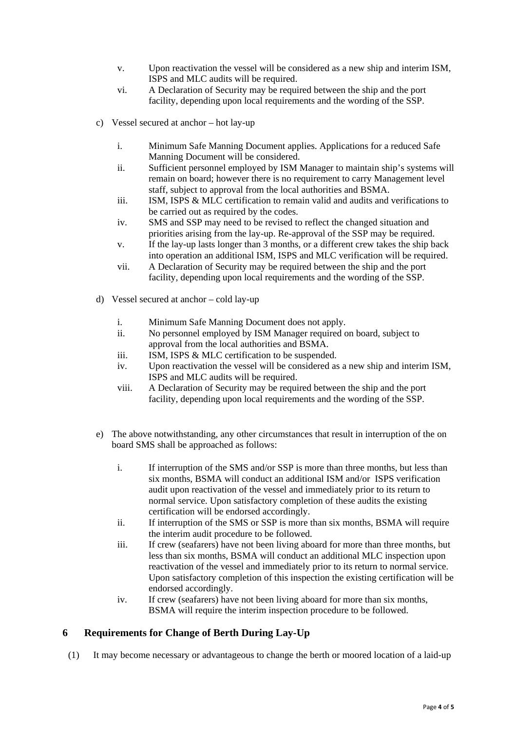- v. Upon reactivation the vessel will be considered as a new ship and interim ISM, ISPS and MLC audits will be required.
- vi. A Declaration of Security may be required between the ship and the port facility, depending upon local requirements and the wording of the SSP.
- c) Vessel secured at anchor hot lay-up
	- i. Minimum Safe Manning Document applies. Applications for a reduced Safe Manning Document will be considered.
	- ii. Sufficient personnel employed by ISM Manager to maintain ship's systems will remain on board; however there is no requirement to carry Management level staff, subject to approval from the local authorities and BSMA.
	- iii. ISM, ISPS & MLC certification to remain valid and audits and verifications to be carried out as required by the codes.
	- iv. SMS and SSP may need to be revised to reflect the changed situation and priorities arising from the lay-up. Re-approval of the SSP may be required.
	- v. If the lay-up lasts longer than 3 months, or a different crew takes the ship back into operation an additional ISM, ISPS and MLC verification will be required.
	- vii. A Declaration of Security may be required between the ship and the port facility, depending upon local requirements and the wording of the SSP.
- d) Vessel secured at anchor cold lay-up
	- i. Minimum Safe Manning Document does not apply.
	- ii. No personnel employed by ISM Manager required on board, subject to approval from the local authorities and BSMA.
	- iii. ISM, ISPS & MLC certification to be suspended.
	- iv. Upon reactivation the vessel will be considered as a new ship and interim ISM, ISPS and MLC audits will be required.
	- viii. A Declaration of Security may be required between the ship and the port facility, depending upon local requirements and the wording of the SSP.
- e) The above notwithstanding, any other circumstances that result in interruption of the on board SMS shall be approached as follows:
	- i. If interruption of the SMS and/or SSP is more than three months, but less than six months, BSMA will conduct an additional ISM and/or ISPS verification audit upon reactivation of the vessel and immediately prior to its return to normal service. Upon satisfactory completion of these audits the existing certification will be endorsed accordingly.
	- ii. If interruption of the SMS or SSP is more than six months, BSMA will require the interim audit procedure to be followed.
	- iii. If crew (seafarers) have not been living aboard for more than three months, but less than six months, BSMA will conduct an additional MLC inspection upon reactivation of the vessel and immediately prior to its return to normal service. Upon satisfactory completion of this inspection the existing certification will be endorsed accordingly.
	- iv. If crew (seafarers) have not been living aboard for more than six months, BSMA will require the interim inspection procedure to be followed.

## **6 Requirements for Change of Berth During Lay-Up**

(1) It may become necessary or advantageous to change the berth or moored location of a laid-up